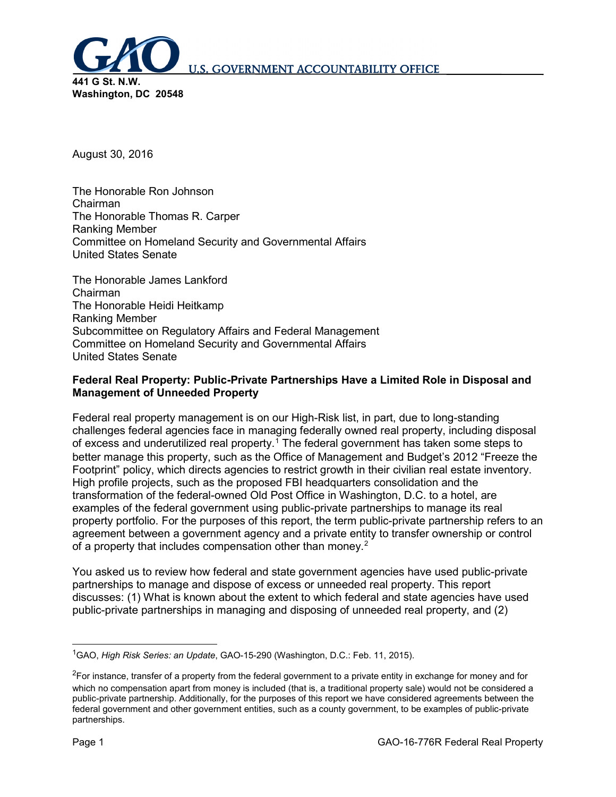

August 30, 2016

The Honorable Ron Johnson Chairman The Honorable Thomas R. Carper Ranking Member Committee on Homeland Security and Governmental Affairs United States Senate

The Honorable James Lankford Chairman The Honorable Heidi Heitkamp Ranking Member Subcommittee on Regulatory Affairs and Federal Management Committee on Homeland Security and Governmental Affairs United States Senate

#### **Federal Real Property: Public-Private Partnerships Have a Limited Role in Disposal and Management of Unneeded Property**

Federal real property management is on our High-Risk list, in part, due to long-standing challenges federal agencies face in managing federally owned real property, including disposal of excess and underutilized real property.[1](#page-0-0) The federal government has taken some steps to better manage this property, such as the Office of Management and Budget's 2012 "Freeze the Footprint" policy, which directs agencies to restrict growth in their civilian real estate inventory. High profile projects, such as the proposed FBI headquarters consolidation and the transformation of the federal-owned Old Post Office in Washington, D.C. to a hotel, are examples of the federal government using public-private partnerships to manage its real property portfolio. For the purposes of this report, the term public-private partnership refers to an agreement between a government agency and a private entity to transfer ownership or control of a property that includes compensation other than money.<sup>[2](#page-0-1)</sup>

You asked us to review how federal and state government agencies have used public-private partnerships to manage and dispose of excess or unneeded real property. This report discusses: (1) What is known about the extent to which federal and state agencies have used public-private partnerships in managing and disposing of unneeded real property, and (2)

<span id="page-0-0"></span> <sup>1</sup> GAO, *High Risk Series: an Update*, GAO-15-290 (Washington, D.C.: Feb. 11, 2015).

<span id="page-0-1"></span> $^2$ For instance, transfer of a property from the federal government to a private entity in exchange for money and for which no compensation apart from money is included (that is, a traditional property sale) would not be considered a public-private partnership. Additionally, for the purposes of this report we have considered agreements between the federal government and other government entities, such as a county government, to be examples of public-private partnerships.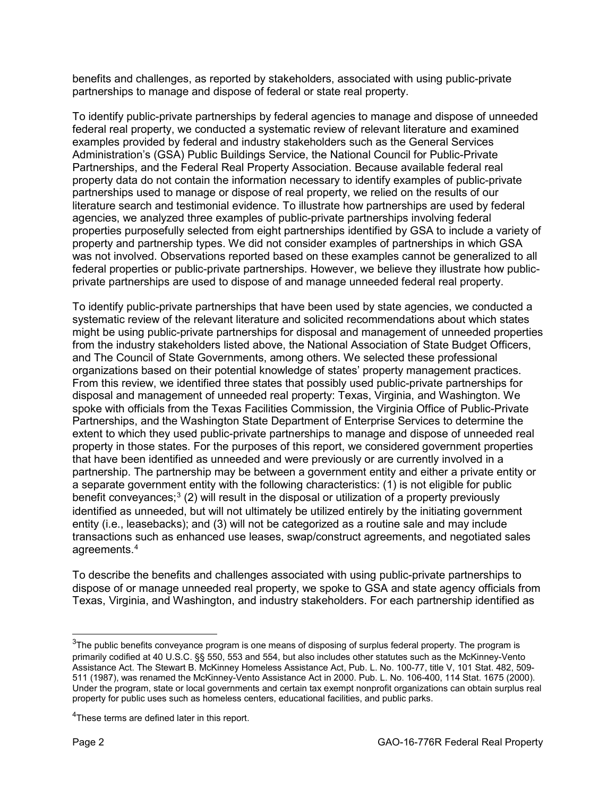benefits and challenges, as reported by stakeholders, associated with using public-private partnerships to manage and dispose of federal or state real property.

To identify public-private partnerships by federal agencies to manage and dispose of unneeded federal real property, we conducted a systematic review of relevant literature and examined examples provided by federal and industry stakeholders such as the General Services Administration's (GSA) Public Buildings Service, the National Council for Public-Private Partnerships, and the Federal Real Property Association. Because available federal real property data do not contain the information necessary to identify examples of public-private partnerships used to manage or dispose of real property, we relied on the results of our literature search and testimonial evidence. To illustrate how partnerships are used by federal agencies, we analyzed three examples of public-private partnerships involving federal properties purposefully selected from eight partnerships identified by GSA to include a variety of property and partnership types. We did not consider examples of partnerships in which GSA was not involved. Observations reported based on these examples cannot be generalized to all federal properties or public-private partnerships. However, we believe they illustrate how publicprivate partnerships are used to dispose of and manage unneeded federal real property.

To identify public-private partnerships that have been used by state agencies, we conducted a systematic review of the relevant literature and solicited recommendations about which states might be using public-private partnerships for disposal and management of unneeded properties from the industry stakeholders listed above, the National Association of State Budget Officers, and The Council of State Governments, among others. We selected these professional organizations based on their potential knowledge of states' property management practices. From this review, we identified three states that possibly used public-private partnerships for disposal and management of unneeded real property: Texas, Virginia, and Washington. We spoke with officials from the Texas Facilities Commission, the Virginia Office of Public-Private Partnerships, and the Washington State Department of Enterprise Services to determine the extent to which they used public-private partnerships to manage and dispose of unneeded real property in those states. For the purposes of this report, we considered government properties that have been identified as unneeded and were previously or are currently involved in a partnership. The partnership may be between a government entity and either a private entity or a separate government entity with the following characteristics: (1) is not eligible for public benefit conveyances; $3$  (2) will result in the disposal or utilization of a property previously identified as unneeded, but will not ultimately be utilized entirely by the initiating government entity (i.e., leasebacks); and (3) will not be categorized as a routine sale and may include transactions such as enhanced use leases, swap/construct agreements, and negotiated sales agreements.[4](#page-1-1)

To describe the benefits and challenges associated with using public-private partnerships to dispose of or manage unneeded real property, we spoke to GSA and state agency officials from Texas, Virginia, and Washington, and industry stakeholders. For each partnership identified as

<span id="page-1-0"></span> <sup>3</sup> The public benefits conveyance program is one means of disposing of surplus federal property. The program is primarily codified at 40 U.S.C. §§ 550, 553 and 554, but also includes other statutes such as the McKinney-Vento Assistance Act. The Stewart B. McKinney Homeless Assistance Act, Pub. L. No. 100-77, title V, 101 Stat. 482, 509- 511 (1987), was renamed the McKinney-Vento Assistance Act in 2000. Pub. L. No. 106-400, 114 Stat. 1675 (2000). Under the program, state or local governments and certain tax exempt nonprofit organizations can obtain surplus real property for public uses such as homeless centers, educational facilities, and public parks.

<span id="page-1-1"></span><sup>&</sup>lt;sup>4</sup>These terms are defined later in this report.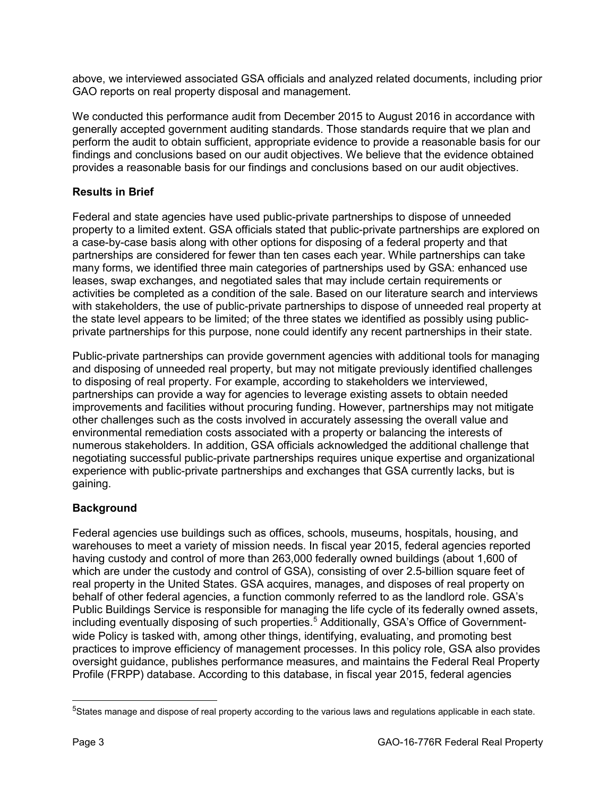above, we interviewed associated GSA officials and analyzed related documents, including prior GAO reports on real property disposal and management.

We conducted this performance audit from December 2015 to August 2016 in accordance with generally accepted government auditing standards. Those standards require that we plan and perform the audit to obtain sufficient, appropriate evidence to provide a reasonable basis for our findings and conclusions based on our audit objectives. We believe that the evidence obtained provides a reasonable basis for our findings and conclusions based on our audit objectives.

# **Results in Brief**

Federal and state agencies have used public-private partnerships to dispose of unneeded property to a limited extent. GSA officials stated that public-private partnerships are explored on a case-by-case basis along with other options for disposing of a federal property and that partnerships are considered for fewer than ten cases each year. While partnerships can take many forms, we identified three main categories of partnerships used by GSA: enhanced use leases, swap exchanges, and negotiated sales that may include certain requirements or activities be completed as a condition of the sale. Based on our literature search and interviews with stakeholders, the use of public-private partnerships to dispose of unneeded real property at the state level appears to be limited; of the three states we identified as possibly using publicprivate partnerships for this purpose, none could identify any recent partnerships in their state.

Public-private partnerships can provide government agencies with additional tools for managing and disposing of unneeded real property, but may not mitigate previously identified challenges to disposing of real property. For example, according to stakeholders we interviewed, partnerships can provide a way for agencies to leverage existing assets to obtain needed improvements and facilities without procuring funding. However, partnerships may not mitigate other challenges such as the costs involved in accurately assessing the overall value and environmental remediation costs associated with a property or balancing the interests of numerous stakeholders. In addition, GSA officials acknowledged the additional challenge that negotiating successful public-private partnerships requires unique expertise and organizational experience with public-private partnerships and exchanges that GSA currently lacks, but is gaining.

# **Background**

Federal agencies use buildings such as offices, schools, museums, hospitals, housing, and warehouses to meet a variety of mission needs. In fiscal year 2015, federal agencies reported having custody and control of more than 263,000 federally owned buildings (about 1,600 of which are under the custody and control of GSA), consisting of over 2.5-billion square feet of real property in the United States. GSA acquires, manages, and disposes of real property on behalf of other federal agencies, a function commonly referred to as the landlord role. GSA's Public Buildings Service is responsible for managing the life cycle of its federally owned assets, including eventually disposing of such properties.<sup>[5](#page-2-0)</sup> Additionally, GSA's Office of Governmentwide Policy is tasked with, among other things, identifying, evaluating, and promoting best practices to improve efficiency of management processes. In this policy role, GSA also provides oversight guidance, publishes performance measures, and maintains the Federal Real Property Profile (FRPP) database. According to this database, in fiscal year 2015, federal agencies

<span id="page-2-0"></span> <sup>5</sup> States manage and dispose of real property according to the various laws and regulations applicable in each state.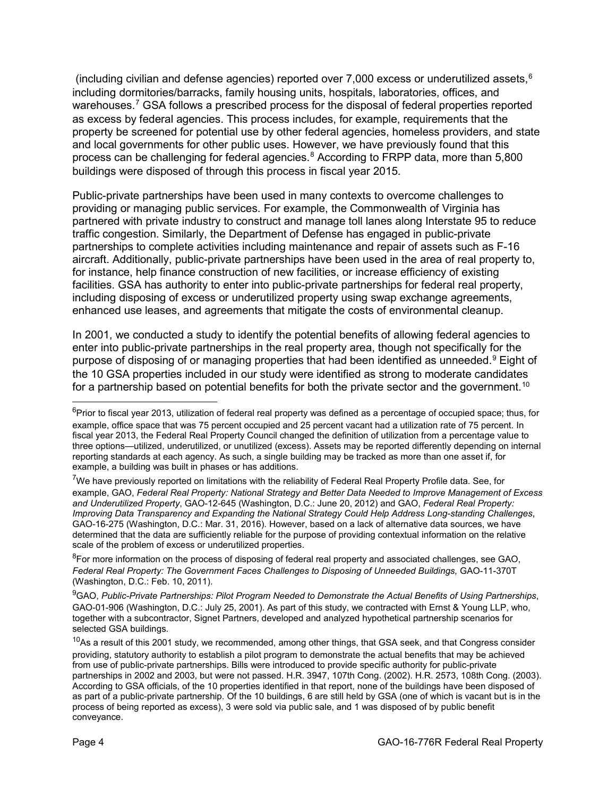(including civilian and defense agencies) reported over 7,000 excess or underutilized assets,[6](#page-3-0) including dormitories/barracks, family housing units, hospitals, laboratories, offices, and warehouses.<sup>[7](#page-3-1)</sup> GSA follows a prescribed process for the disposal of federal properties reported as excess by federal agencies. This process includes, for example, requirements that the property be screened for potential use by other federal agencies, homeless providers, and state and local governments for other public uses. However, we have previously found that this process can be challenging for federal agencies.<sup>[8](#page-3-2)</sup> According to FRPP data, more than 5,800 buildings were disposed of through this process in fiscal year 2015.

Public-private partnerships have been used in many contexts to overcome challenges to providing or managing public services. For example, the Commonwealth of Virginia has partnered with private industry to construct and manage toll lanes along Interstate 95 to reduce traffic congestion. Similarly, the Department of Defense has engaged in public-private partnerships to complete activities including maintenance and repair of assets such as F-16 aircraft. Additionally, public-private partnerships have been used in the area of real property to, for instance, help finance construction of new facilities, or increase efficiency of existing facilities. GSA has authority to enter into public-private partnerships for federal real property, including disposing of excess or underutilized property using swap exchange agreements, enhanced use leases, and agreements that mitigate the costs of environmental cleanup.

In 2001, we conducted a study to identify the potential benefits of allowing federal agencies to enter into public-private partnerships in the real property area, though not specifically for the purpose of disposing of or managing properties that had been identified as unneeded.<sup>[9](#page-3-3)</sup> Eight of the 10 GSA properties included in our study were identified as strong to moderate candidates for a partnership based on potential benefits for both the private sector and the government.<sup>[10](#page-3-4)</sup>

<span id="page-3-2"></span><sup>8</sup>For more information on the process of disposing of federal real property and associated challenges, see GAO, Federal Real Property: The Government Faces Challenges to Disposing of Unneeded Buildings, GAO-11-370T (Washington, D.C.: Feb. 10, 2011).

<span id="page-3-3"></span>9 GAO, *Public-Private Partnerships: Pilot Program Needed to Demonstrate the Actual Benefits of Using Partnerships*, GAO-01-906 (Washington, D.C.: July 25, 2001). As part of this study, we contracted with Ernst & Young LLP, who, together with a subcontractor, Signet Partners, developed and analyzed hypothetical partnership scenarios for selected GSA buildings.

<span id="page-3-0"></span> <sup>6</sup> Prior to fiscal year 2013, utilization of federal real property was defined as a percentage of occupied space; thus, for example, office space that was 75 percent occupied and 25 percent vacant had a utilization rate of 75 percent. In fiscal year 2013, the Federal Real Property Council changed the definition of utilization from a percentage value to three options—utilized, underutilized, or unutilized (excess). Assets may be reported differently depending on internal reporting standards at each agency. As such, a single building may be tracked as more than one asset if, for example, a building was built in phases or has additions.

<span id="page-3-1"></span><sup>&</sup>lt;sup>7</sup>We have previously reported on limitations with the reliability of Federal Real Property Profile data. See, for example, GAO, *Federal Real Property: National Strategy and Better Data Needed to Improve Management of Excess and Underutilized Property*, GAO-12-645 (Washington, D.C.: June 20, 2012) and GAO, *Federal Real Property: Improving Data Transparency and Expanding the National Strategy Could Help Address Long-standing Challenges*, GAO-16-275 (Washington, D.C.: Mar. 31, 2016). However, based on a lack of alternative data sources, we have determined that the data are sufficiently reliable for the purpose of providing contextual information on the relative scale of the problem of excess or underutilized properties.

<span id="page-3-4"></span><sup>&</sup>lt;sup>10</sup>As a result of this 2001 study, we recommended, among other things, that GSA seek, and that Congress consider providing, statutory authority to establish a pilot program to demonstrate the actual benefits that may be achieved from use of public-private partnerships. Bills were introduced to provide specific authority for public-private partnerships in 2002 and 2003, but were not passed. H.R. 3947, 107th Cong. (2002). H.R. 2573, 108th Cong. (2003). According to GSA officials, of the 10 properties identified in that report, none of the buildings have been disposed of as part of a public-private partnership. Of the 10 buildings, 6 are still held by GSA (one of which is vacant but is in the process of being reported as excess), 3 were sold via public sale, and 1 was disposed of by public benefit conveyance.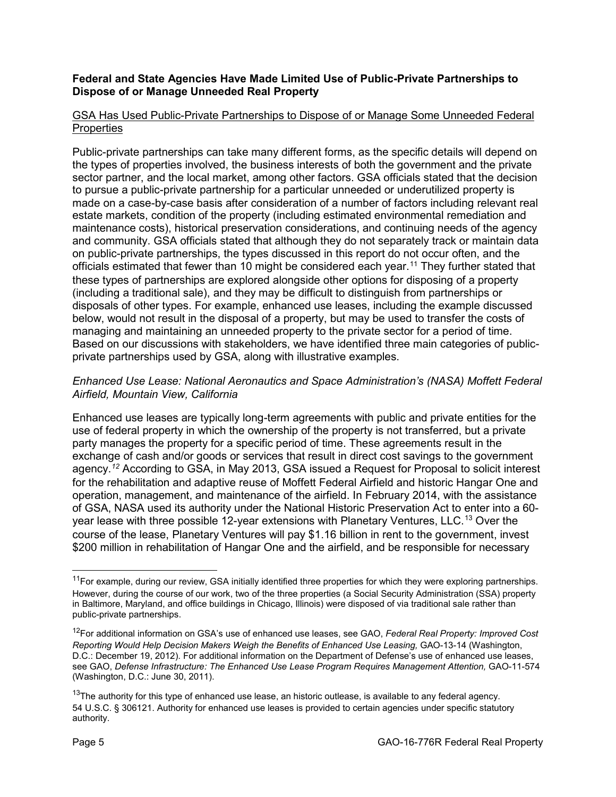#### **Federal and State Agencies Have Made Limited Use of Public-Private Partnerships to Dispose of or Manage Unneeded Real Property**

# GSA Has Used Public-Private Partnerships to Dispose of or Manage Some Unneeded Federal **Properties**

Public-private partnerships can take many different forms, as the specific details will depend on the types of properties involved, the business interests of both the government and the private sector partner, and the local market, among other factors. GSA officials stated that the decision to pursue a public-private partnership for a particular unneeded or underutilized property is made on a case-by-case basis after consideration of a number of factors including relevant real estate markets, condition of the property (including estimated environmental remediation and maintenance costs), historical preservation considerations, and continuing needs of the agency and community. GSA officials stated that although they do not separately track or maintain data on public-private partnerships, the types discussed in this report do not occur often, and the officials estimated that fewer than 10 might be considered each year.<sup>[11](#page-4-0)</sup> They further stated that these types of partnerships are explored alongside other options for disposing of a property (including a traditional sale), and they may be difficult to distinguish from partnerships or disposals of other types. For example, enhanced use leases, including the example discussed below, would not result in the disposal of a property, but may be used to transfer the costs of managing and maintaining an unneeded property to the private sector for a period of time. Based on our discussions with stakeholders, we have identified three main categories of publicprivate partnerships used by GSA, along with illustrative examples.

#### *Enhanced Use Lease: National Aeronautics and Space Administration's (NASA) Moffett Federal Airfield, Mountain View, California*

Enhanced use leases are typically long-term agreements with public and private entities for the use of federal property in which the ownership of the property is not transferred, but a private party manages the property for a specific period of time. These agreements result in the exchange of cash and/or goods or services that result in direct cost savings to the government agency.*[12](#page-4-1)* According to GSA, in May 2013, GSA issued a Request for Proposal to solicit interest for the rehabilitation and adaptive reuse of Moffett Federal Airfield and historic Hangar One and operation, management, and maintenance of the airfield. In February 2014, with the assistance of GSA, NASA used its authority under the National Historic Preservation Act to enter into a 60 year lease with three possible 12-year extensions with Planetary Ventures, LLC. [13](#page-4-2) Over the course of the lease, Planetary Ventures will pay \$1.16 billion in rent to the government, invest \$200 million in rehabilitation of Hangar One and the airfield, and be responsible for necessary

<span id="page-4-0"></span><sup>&</sup>lt;sup>11</sup>For example, during our review, GSA initially identified three properties for which they were exploring partnerships. However, during the course of our work, two of the three properties (a Social Security Administration (SSA) property in Baltimore, Maryland, and office buildings in Chicago, Illinois) were disposed of via traditional sale rather than public-private partnerships.

<span id="page-4-1"></span><sup>12</sup>For additional information on GSA's use of enhanced use leases, see GAO, *Federal Real Property: Improved Cost Reporting Would Help Decision Makers Weigh the Benefits of Enhanced Use Leasing,* GAO-13-14 (Washington, D.C.: December 19, 2012). For additional information on the Department of Defense's use of enhanced use leases, see GAO, *Defense Infrastructure: The Enhanced Use Lease Program Requires Management Attention,* GAO-11-574 (Washington, D.C.: June 30, 2011).

<span id="page-4-2"></span> $13$ The authority for this type of enhanced use lease, an historic outlease, is available to any federal agency. 54 U.S.C. § 306121. Authority for enhanced use leases is provided to certain agencies under specific statutory authority.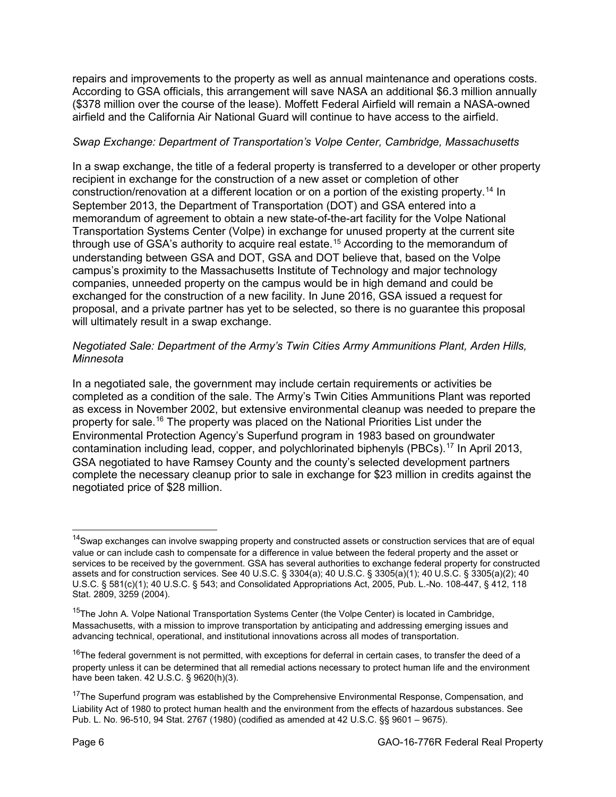repairs and improvements to the property as well as annual maintenance and operations costs. According to GSA officials, this arrangement will save NASA an additional \$6.3 million annually (\$378 million over the course of the lease). Moffett Federal Airfield will remain a NASA-owned airfield and the California Air National Guard will continue to have access to the airfield.

# *Swap Exchange: Department of Transportation's Volpe Center, Cambridge, Massachusetts*

In a swap exchange, the title of a federal property is transferred to a developer or other property recipient in exchange for the construction of a new asset or completion of other construction/renovation at a different location or on a portion of the existing property.[14](#page-5-0) In September 2013, the Department of Transportation (DOT) and GSA entered into a memorandum of agreement to obtain a new state-of-the-art facility for the Volpe National Transportation Systems Center (Volpe) in exchange for unused property at the current site through use of GSA's authority to acquire real estate.<sup>[15](#page-5-1)</sup> According to the memorandum of understanding between GSA and DOT, GSA and DOT believe that, based on the Volpe campus's proximity to the Massachusetts Institute of Technology and major technology companies, unneeded property on the campus would be in high demand and could be exchanged for the construction of a new facility. In June 2016, GSA issued a request for proposal, and a private partner has yet to be selected, so there is no guarantee this proposal will ultimately result in a swap exchange.

#### *Negotiated Sale: Department of the Army's Twin Cities Army Ammunitions Plant, Arden Hills, Minnesota*

In a negotiated sale, the government may include certain requirements or activities be completed as a condition of the sale. The Army's Twin Cities Ammunitions Plant was reported as excess in November 2002, but extensive environmental cleanup was needed to prepare the property for sale.<sup>[16](#page-5-2)</sup> The property was placed on the National Priorities List under the Environmental Protection Agency's Superfund program in 1983 based on groundwater contamination including lead, copper, and polychlorinated biphenyls (PBCs).[17](#page-5-3) In April 2013, GSA negotiated to have Ramsey County and the county's selected development partners complete the necessary cleanup prior to sale in exchange for \$23 million in credits against the negotiated price of \$28 million.

<span id="page-5-0"></span><sup>&</sup>lt;sup>14</sup>Swap exchanges can involve swapping property and constructed assets or construction services that are of equal value or can include cash to compensate for a difference in value between the federal property and the asset or services to be received by the government. GSA has several authorities to exchange federal property for constructed assets and for construction services. See 40 U.S.C. § 3304(a); 40 U.S.C. § 3305(a)(1); 40 U.S.C. § 3305(a)(2); 40 U.S.C. § 581(c)(1); 40 U.S.C. § 543; and Consolidated Appropriations Act, 2005, Pub. L.-No. 108-447, § 412, 118 Stat. 2809, 3259 (2004).

<span id="page-5-1"></span><sup>&</sup>lt;sup>15</sup>The John A. Volpe National Transportation Systems Center (the Volpe Center) is located in Cambridge, Massachusetts, with a mission to improve transportation by anticipating and addressing emerging issues and advancing technical, operational, and institutional innovations across all modes of transportation.

<span id="page-5-2"></span><sup>&</sup>lt;sup>16</sup>The federal government is not permitted, with exceptions for deferral in certain cases, to transfer the deed of a property unless it can be determined that all remedial actions necessary to protect human life and the environment have been taken. 42 U.S.C. § 9620(h)(3).

<span id="page-5-3"></span><sup>&</sup>lt;sup>17</sup>The Superfund program was established by the Comprehensive Environmental Response, Compensation, and Liability Act of 1980 to protect human health and the environment from the effects of hazardous substances. See Pub. L. No. 96-510, 94 Stat. 2767 (1980) (codified as amended at 42 U.S.C. §§ 9601 – 9675).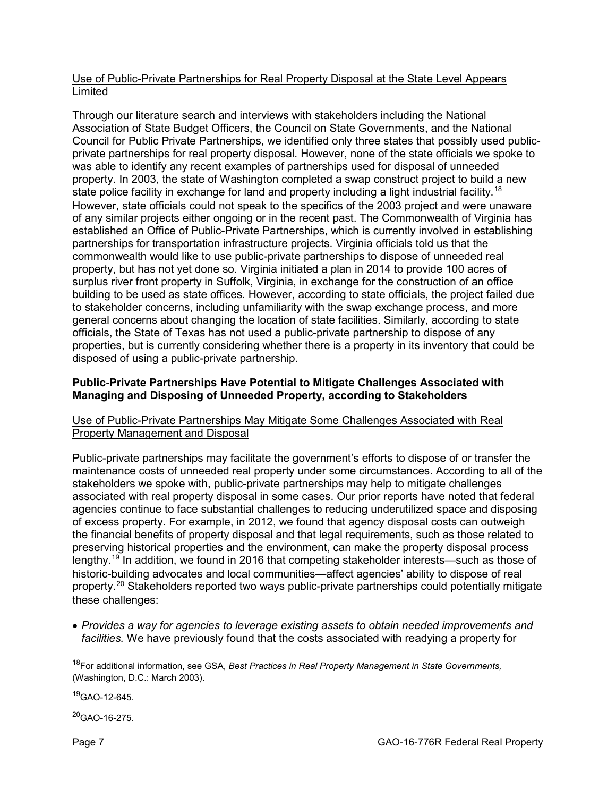#### Use of Public-Private Partnerships for Real Property Disposal at the State Level Appears Limited

Through our literature search and interviews with stakeholders including the National Association of State Budget Officers, the Council on State Governments, and the National Council for Public Private Partnerships, we identified only three states that possibly used publicprivate partnerships for real property disposal. However, none of the state officials we spoke to was able to identify any recent examples of partnerships used for disposal of unneeded property. In 2003, the state of Washington completed a swap construct project to build a new state police facility in exchange for land and property including a light industrial facility.<sup>[18](#page-6-0)</sup> However, state officials could not speak to the specifics of the 2003 project and were unaware of any similar projects either ongoing or in the recent past. The Commonwealth of Virginia has established an Office of Public-Private Partnerships, which is currently involved in establishing partnerships for transportation infrastructure projects. Virginia officials told us that the commonwealth would like to use public-private partnerships to dispose of unneeded real property, but has not yet done so. Virginia initiated a plan in 2014 to provide 100 acres of surplus river front property in Suffolk, Virginia, in exchange for the construction of an office building to be used as state offices. However, according to state officials, the project failed due to stakeholder concerns, including unfamiliarity with the swap exchange process, and more general concerns about changing the location of state facilities. Similarly, according to state officials, the State of Texas has not used a public-private partnership to dispose of any properties, but is currently considering whether there is a property in its inventory that could be disposed of using a public-private partnership.

# **Public-Private Partnerships Have Potential to Mitigate Challenges Associated with Managing and Disposing of Unneeded Property, according to Stakeholders**

#### Use of Public-Private Partnerships May Mitigate Some Challenges Associated with Real Property Management and Disposal

Public-private partnerships may facilitate the government's efforts to dispose of or transfer the maintenance costs of unneeded real property under some circumstances. According to all of the stakeholders we spoke with, public-private partnerships may help to mitigate challenges associated with real property disposal in some cases. Our prior reports have noted that federal agencies continue to face substantial challenges to reducing underutilized space and disposing of excess property. For example, in 2012, we found that agency disposal costs can outweigh the financial benefits of property disposal and that legal requirements, such as those related to preserving historical properties and the environment, can make the property disposal process lengthy.[19](#page-6-1) In addition, we found in 2016 that competing stakeholder interests—such as those of historic-building advocates and local communities—affect agencies' ability to dispose of real property.[20](#page-6-2) Stakeholders reported two ways public-private partnerships could potentially mitigate these challenges:

• *Provides a way for agencies to leverage existing assets to obtain needed improvements and facilities.* We have previously found that the costs associated with readying a property for

<span id="page-6-1"></span> $19$ GAO-12-645.

<span id="page-6-2"></span>20GAO-16-275.

<span id="page-6-0"></span> <sup>18</sup>For additional information, see GSA, *Best Practices in Real Property Management in State Governments,*  (Washington, D.C.: March 2003).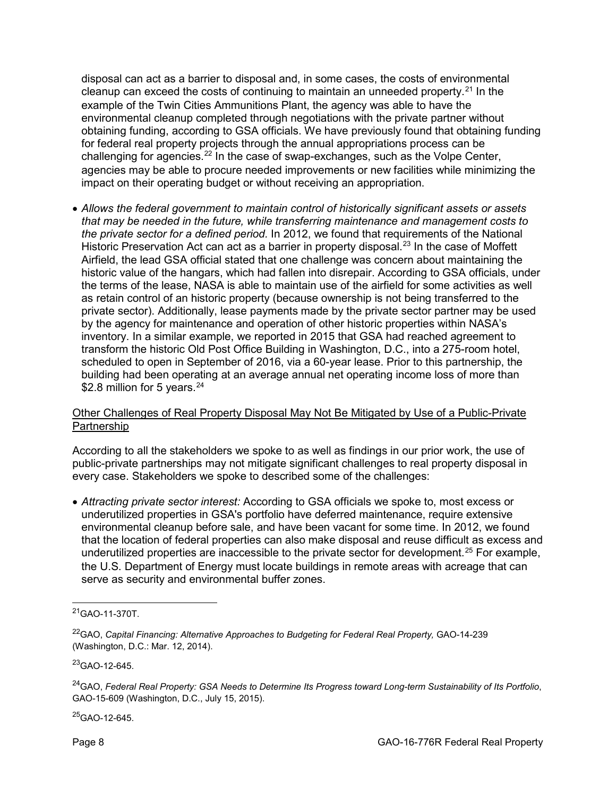disposal can act as a barrier to disposal and, in some cases, the costs of environmental cleanup can exceed the costs of continuing to maintain an unneeded property. $21$  In the example of the Twin Cities Ammunitions Plant, the agency was able to have the environmental cleanup completed through negotiations with the private partner without obtaining funding, according to GSA officials. We have previously found that obtaining funding for federal real property projects through the annual appropriations process can be challenging for agencies.[22](#page-7-1) In the case of swap-exchanges, such as the Volpe Center, agencies may be able to procure needed improvements or new facilities while minimizing the impact on their operating budget or without receiving an appropriation.

• *Allows the federal government to maintain control of historically significant assets or assets that may be needed in the future, while transferring maintenance and management costs to the private sector for a defined period.* In 2012, we found that requirements of the National Historic Preservation Act can act as a barrier in property disposal.<sup>[23](#page-7-2)</sup> In the case of Moffett Airfield, the lead GSA official stated that one challenge was concern about maintaining the historic value of the hangars, which had fallen into disrepair. According to GSA officials, under the terms of the lease, NASA is able to maintain use of the airfield for some activities as well as retain control of an historic property (because ownership is not being transferred to the private sector). Additionally, lease payments made by the private sector partner may be used by the agency for maintenance and operation of other historic properties within NASA's inventory. In a similar example, we reported in 2015 that GSA had reached agreement to transform the historic Old Post Office Building in Washington, D.C., into a 275-room hotel, scheduled to open in September of 2016, via a 60-year lease. Prior to this partnership, the building had been operating at an average annual net operating income loss of more than \$2.8 million for 5 years.<sup>[24](#page-7-3)</sup>

#### Other Challenges of Real Property Disposal May Not Be Mitigated by Use of a Public-Private Partnership

According to all the stakeholders we spoke to as well as findings in our prior work, the use of public-private partnerships may not mitigate significant challenges to real property disposal in every case. Stakeholders we spoke to described some of the challenges:

• *Attracting private sector interest:* According to GSA officials we spoke to, most excess or underutilized properties in GSA's portfolio have deferred maintenance, require extensive environmental cleanup before sale, and have been vacant for some time. In 2012, we found that the location of federal properties can also make disposal and reuse difficult as excess and underutilized properties are inaccessible to the private sector for development.<sup>[25](#page-7-4)</sup> For example, the U.S. Department of Energy must locate buildings in remote areas with acreage that can serve as security and environmental buffer zones.

<span id="page-7-2"></span>23GAO-12-645.

<span id="page-7-4"></span> $^{25}$ GAO-12-645.

<span id="page-7-0"></span> <sup>21</sup>GAO-11-370T.

<span id="page-7-1"></span><sup>&</sup>lt;sup>22</sup>GAO, Capital Financing: Alternative Approaches to Budgeting for Federal Real Property, GAO-14-239 (Washington, D.C.: Mar. 12, 2014).

<span id="page-7-3"></span><sup>24</sup>GAO, *Federal Real Property: GSA Needs to Determine Its Progress toward Long-term Sustainability of Its Portfolio*, GAO-15-609 (Washington, D.C., July 15, 2015).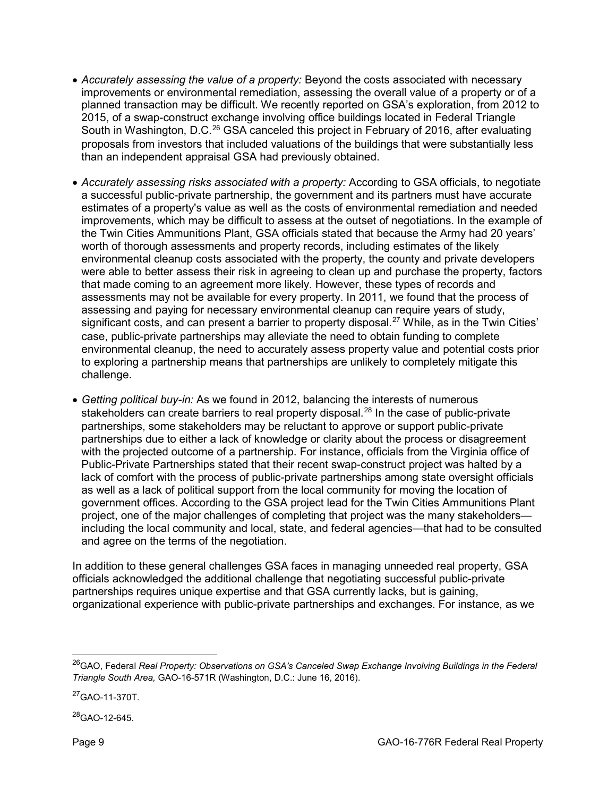- *Accurately assessing the value of a property:* Beyond the costs associated with necessary improvements or environmental remediation, assessing the overall value of a property or of a planned transaction may be difficult. We recently reported on GSA's exploration, from 2012 to 2015, of a swap-construct exchange involving office buildings located in Federal Triangle South in Washington, D.C.<sup>[26](#page-8-0)</sup> GSA canceled this project in February of 2016, after evaluating proposals from investors that included valuations of the buildings that were substantially less than an independent appraisal GSA had previously obtained.
- *Accurately assessing risks associated with a property:* According to GSA officials, to negotiate a successful public-private partnership, the government and its partners must have accurate estimates of a property's value as well as the costs of environmental remediation and needed improvements, which may be difficult to assess at the outset of negotiations. In the example of the Twin Cities Ammunitions Plant, GSA officials stated that because the Army had 20 years' worth of thorough assessments and property records, including estimates of the likely environmental cleanup costs associated with the property, the county and private developers were able to better assess their risk in agreeing to clean up and purchase the property, factors that made coming to an agreement more likely. However, these types of records and assessments may not be available for every property. In 2011, we found that the process of assessing and paying for necessary environmental cleanup can require years of study, significant costs, and can present a barrier to property disposal.<sup>[27](#page-8-1)</sup> While, as in the Twin Cities' case, public-private partnerships may alleviate the need to obtain funding to complete environmental cleanup, the need to accurately assess property value and potential costs prior to exploring a partnership means that partnerships are unlikely to completely mitigate this challenge.
- *Getting political buy-in:* As we found in 2012, balancing the interests of numerous stakeholders can create barriers to real property disposal.<sup>[28](#page-8-2)</sup> In the case of public-private partnerships, some stakeholders may be reluctant to approve or support public-private partnerships due to either a lack of knowledge or clarity about the process or disagreement with the projected outcome of a partnership. For instance, officials from the Virginia office of Public-Private Partnerships stated that their recent swap-construct project was halted by a lack of comfort with the process of public-private partnerships among state oversight officials as well as a lack of political support from the local community for moving the location of government offices. According to the GSA project lead for the Twin Cities Ammunitions Plant project, one of the major challenges of completing that project was the many stakeholders including the local community and local, state, and federal agencies—that had to be consulted and agree on the terms of the negotiation.

In addition to these general challenges GSA faces in managing unneeded real property, GSA officials acknowledged the additional challenge that negotiating successful public-private partnerships requires unique expertise and that GSA currently lacks, but is gaining, organizational experience with public-private partnerships and exchanges. For instance, as we

<span id="page-8-2"></span> $^{28}$ GAO-12-645.

<span id="page-8-0"></span> <sup>26</sup>GAO, Federal *Real Property: Observations on GSA's Canceled Swap Exchange Involving Buildings in the Federal Triangle South Area,* GAO-16-571R (Washington, D.C.: June 16, 2016).

<span id="page-8-1"></span><sup>27</sup>GAO-11-370T.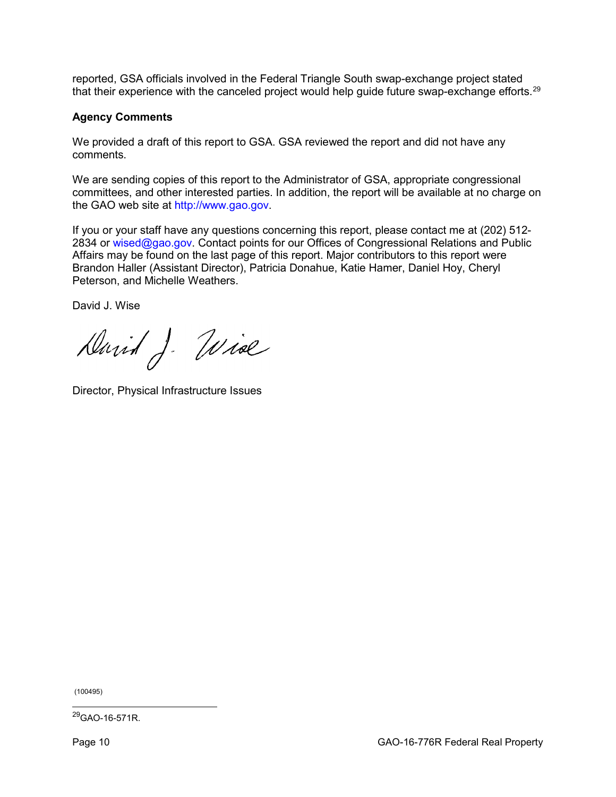reported, GSA officials involved in the Federal Triangle South swap-exchange project stated that their experience with the canceled project would help guide future swap-exchange efforts.<sup>[29](#page-9-0)</sup>

#### **Agency Comments**

We provided a draft of this report to GSA. GSA reviewed the report and did not have any comments.

We are sending copies of this report to the Administrator of GSA, appropriate congressional committees, and other interested parties. In addition, the report will be available at no charge on the GAO web site at [http://www.gao.gov.](http://www.gao.gov/)

If you or your staff have any questions concerning this report, please contact me at (202) 512- 2834 or [wised@gao.gov.](mailto:wised@gao.gov) Contact points for our Offices of Congressional Relations and Public Affairs may be found on the last page of this report. Major contributors to this report were Brandon Haller (Assistant Director), Patricia Donahue, Katie Hamer, Daniel Hoy, Cheryl Peterson, and Michelle Weathers.

David J. Wise

David J. Wise

Director, Physical Infrastructure Issues

(100495)

<span id="page-9-0"></span>29GAO-16-571R.